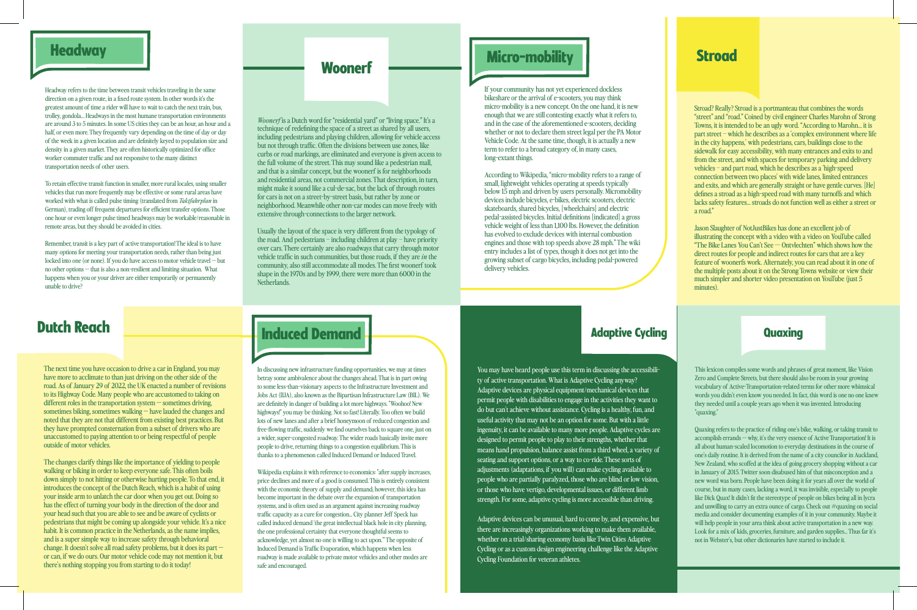## **Headway**

Headway refers to the time between transit vehicles traveling in the same direction on a given route, in a fixed route system. In other words it's the greatest amount of time a rider will have to wait to catch the next train, bus, trolley, gondola… Headways in the most humane transportation environments are around 3 to 5 minutes. In some US cities they can be an hour, an hour and a half, or even more. They frequently vary depending on the time of day or day of the week in a given location and are denitely keyed to population size and density in a given market. They are often historically optimized for office worker commuter traffic and not responsive to the many distinct transportation needs of other users.

To retain effective transit function in smaller, more rural locales, using smaller vehicles that run more frequently may be effective or some rural areas have worked with what is called pulse timing (translated from *Taktfahrplan* in German), trading off frequent departures for efficient transfer options. Those one hour or even longer pulse timed headways may be workable/reasonable in remote areas, but they should be avoided in cities.

Remember, transit is a key part of active transportation! The ideal is to have many options for meeting your transportation needs, rather than being just locked into one (or none). If you do have access to motor vehicle travel -- but no other options -- that is also a non-resilient and limiting situation. What happens when you or your driver are either temporarily or permanently unable to drive?

*Woonerf* is a Dutch word for "residential yard" or "living space." It's a technique of redefining the space of a street as shared by all users, including pedestrians and playing children, allowing for vehicle access but not through traffic. Often the divisions between use zones, like curbs or road markings, are eliminated and everyone is given access to the full volume of the street. This may sound like a pedestrian mall, and that is a similar concept, but the woonerf is for neighborhoods and residential areas, not commercial zones. That description, in turn, might make it sound like a cul-de-sac, but the lack of through routes for cars is not on a street-by-street basis, but rather by zone or neighborhood. Meanwhile other non-car modes can move freely with extensive through-connections to the larger network.

If your community has not yet experienced dockless bikeshare or the arrival of e-scooters, you may think micro-mobility is a new concept. On the one hand, it is new enough that we are still contesting exactly what it refers to, and in the case of the aforementioned e-scooters, deciding whether or not to declare them street legal per the PA Motor Vehicle Code. At the same time, though, it is actually a new term to refer to a broad category of, in many cases, long-extant things.

According to Wikipedia, "micro-mobility refers to a range of small, lightweight vehicles operating at speeds typically below 15 mph and driven by users personally. Micromobility devices include bicycles, e-bikes, electric scooters, electric skateboards, shared bicycles, [wheelchairs] and electric pedal-assisted bicycles. Initial denitions [indicated] a gross vehicle weight of less than 1,100 lbs. However, the definition has evolved to exclude devices with internal combustion engines and those with top speeds above 28 mph." The wiki entry includes a list of types, though it does not get into the growing subset of cargo bicycles, including pedal-powered delivery vehicles.

You may have heard people use this term in discussing the accessibility of active transportation. What is Adaptive Cycling anyway? Adaptive devices are physical equipment/mechanical devices that permit people with disabilities to engage in the activities they want to do but can't achieve without assistance. Cycling is a healthy, fun, and useful activity that may not be an option for some. But with a little ingenuity, it can be available to many more people. Adaptive cycles are designed to permit people to play to their strengths, whether that means hand propulsion, balance assist from a third wheel, a variety of seating and support options, or a way to co-ride. These sorts of adjustments (adaptations, if you will) can make cycling available to people who are partially paralyzed, those who are blind or low vision, or those who have vertigo, developmental issues, or different limb strength. For some, adaptive cycling is more accessible than driving.

Usually the layout of the space is very different from the typology of the road. And pedestrians – including children at play – have priority over cars. There certainly are also roadways that carry through motor vehicle traffic in such communities, but those roads, if they are *in* the community, also still accommodate all modes. The first woonerf took shape in the 1970s and by 1999, there were more than 6000 in the Netherlands.

# Woonerf <u>with Micro-mobility and Stroad</u>

Stroad? Really? Stroad is a portmanteau that combines the words "street" and "road." Coined by civil engineer Charles Marohn of Strong Towns, it is intended to be an ugly word. "According to Marohn… it is part street – which he describes as a 'complex environment where life in the city happens,' with pedestrians, cars, buildings close to the sidewalk for easy accessibility, with many entrances and exits to and from the street, and with spaces for temporary parking and delivery vehicles – and part road, which he describes as a 'high-speed connection between two places' with wide lanes, limited entrances and exits, and which are generally straight or have gentle curves. [He] defines a stroad as a high-speed road with many turnoffs and which lacks safety features… stroads do not function well as either a street or a road."

Jason Slaughter of NotJustBikes has done an excellent job of illustrating the concept with a video with a video on YouTube called "The Bike Lanes You Can't See — Ontvlechten" which shows how the direct routes for people and indirect routes for cars that are a key feature of woonerfs work. Alternately, you can read about it in one of the multiple posts about it on the Strong Towns website or view their much simpler and shorter video presentation on YouTube (just 5 minutes).



Adaptive devices can be unusual, hard to come by, and expensive, but there are increasingly organizations working to make them available, whether on a trial/sharing economy basis like Twin Cities Adaptive Cycling or as a custom design engineering challenge like the Adaptive Cycling Foundation for veteran athletes.



In discussing new infrastructure funding opportunities, we may at times betray some ambivalence about the changes ahead. That is in part owing to some less-than-visionary aspects to the Infrastructure Investment and Jobs Act (IIJA), also known as the Bipartisan Infrastructure Law (BIL). We are definitely in danger of building a lot more highways. "Woohoo! New highways!" you may be thinking. Not so fast! Literally. Too often we build lots of new lanes and after a brief honeymoon of reduced congestion and free-flowing traffic, suddenly we find ourselves back to square one, just on a wider, super-congested roadway. The wider roads basically invite more people to drive, returning things to a congestion equilibrium. This is thanks to a phenomenon called Induced Demand or Induced Travel.

Wikipedia explains it with reference to economics: "after supply increases, price declines and more of a good is consumed. This is entirely consistent with the economic theory of supply and demand; however, this idea has become important in the debate over the expansion of transportation systems, and is often used as an argument against increasing roadway traffic capacity as a cure for congestion... City planner Jeff Speck has called induced demand 'the great intellectual black hole in city planning, the one professional certainty that everyone thoughtful seems to acknowledge, yet almost no one is willing to act upon.'" The opposite of Induced Demand is Traffic Evaporation, which happens when less roadway is made available to private motor vehicles and other modes are safe and encouraged.

This lexicon compiles some words and phrases of great moment, like Vision Zero and Complete Streets, but there should also be room in your growing vocabulary of Active-Transportation-related terms for other more whimsical words you didn't even know you needed. In fact, this word is one no one knew they needed until a couple years ago when it was invented. Introducing "quaxing."

Quaxing refers to the practice of riding one's bike, walking, or taking transit to accomplish errands -- why, it's the very essence of Active Transportation! It is all about human-scaled locomotion to everyday destinations in the course of one's daily routine. It is derived from the name of a city councilor in Auckland, New Zealand, who scoffed at the idea of going grocery shopping without a car in January of 2015. Twitter soon disabused him of that misconception and a new word was born. People have been doing it for years all over the world of course, but in many cases, lacking a word, it was invisible, especially to people like Dick Quax! It didn't fit the stereotype of people on bikes being all in lycra and unwilling to carry an extra ounce of cargo. Check out #quaxing on social media and consider documenting examples of it in your community. Maybe it will help people in your area think about active transportation in a new way. Look for a mix of kids, groceries, furniture, and garden supplies... Thus far it's not in Webster's, but other dictionaries have started to include it.

The next time you have occasion to drive a car in England, you may have more to acclimate to than just driving on the other side of the road. As of January 29 of 2022, the UK enacted a number of revisions to its Highway Code. Many people who are accustomed to taking on different roles in the transportation system -- sometimes driving. sometimes biking, sometimes walking -- have lauded the changes and noted that they are not that different from existing best practices. But they have prompted consternation from a subset of drivers who are unaccustomed to paying attention to or being respectful of people outside of motor vehicles.

The changes clarify things like the importance of yielding to people walking or biking in order to keep everyone safe. This often boils down simply to not hitting or otherwise hurting people. To that end, it introduces the concept of the Dutch Reach, which is a habit of using your inside arm to unlatch the car door when you get out. Doing so has the effect of turning your body in the direction of the door and your head such that you are able to see and be aware of cyclists or pedestrians that might be coming up alongside your vehicle. It's a nice habit. It is common practice in the Netherlands, as the name implies, and is a super simple way to increase safety through behavioral change. It doesn't solve all road safety problems, but it does its part - or can, if we do ours. Our motor vehicle code may not mention it, but there's nothing stopping you from starting to do it today!

**Dutch Reach and Constitution of Advanced Demand Advancement Constitution of Adaptive Cycling Adaptive Cycling Cuaxing** 

### Adaptive Cycling